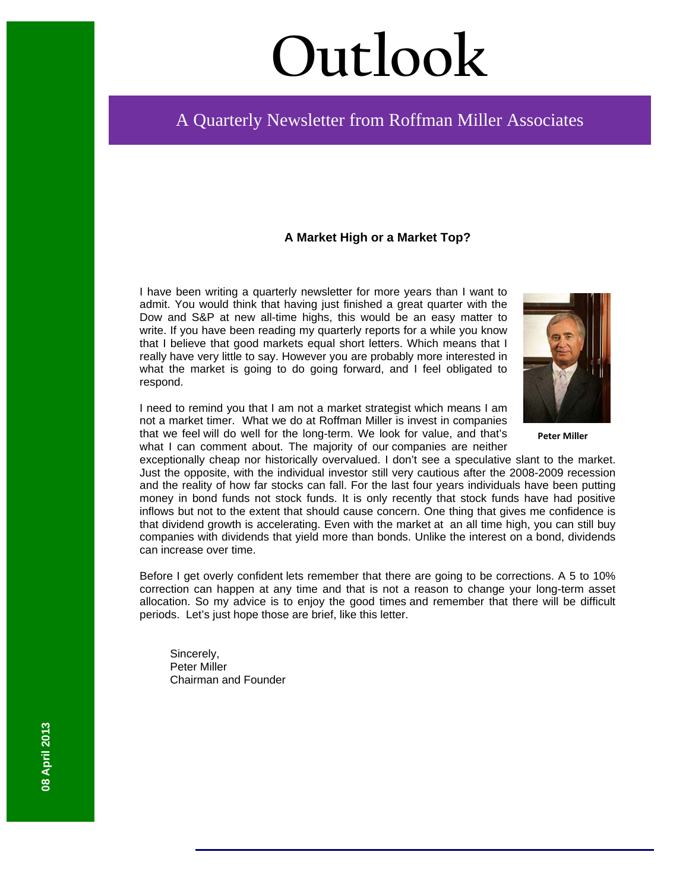# **Outlook**

# A Quarterly Newsletter from Roffman Miller Associates

### **A Market High or a Market Top?**

I have been writing a quarterly newsletter for more years than I want to admit. You would think that having just finished a great quarter with the Dow and S&P at new all-time highs, this would be an easy matter to write. If you have been reading my quarterly reports for a while you know that I believe that good markets equal short letters. Which means that I really have very little to say. However you are probably more interested in what the market is going to do going forward, and I feel obligated to respond.



**Peter Miller**

I need to remind you that I am not a market strategist which means I am not a market timer. What we do at Roffman Miller is invest in companies that we feel will do well for the long-term. We look for value, and that's what I can comment about. The majority of our companies are neither

exceptionally cheap nor historically overvalued. I don't see a speculative slant to the market. Just the opposite, with the individual investor still very cautious after the 2008-2009 recession and the reality of how far stocks can fall. For the last four years individuals have been putting money in bond funds not stock funds. It is only recently that stock funds have had positive inflows but not to the extent that should cause concern. One thing that gives me confidence is that dividend growth is accelerating. Even with the market at an all time high, you can still buy companies with dividends that yield more than bonds. Unlike the interest on a bond, dividends can increase over time.

Before I get overly confident lets remember that there are going to be corrections. A 5 to 10% correction can happen at any time and that is not a reason to change your long-term asset allocation. So my advice is to enjoy the good times and remember that there will be difficult periods. Let's just hope those are brief, like this letter.

Sincerely, Peter Miller Chairman and Founder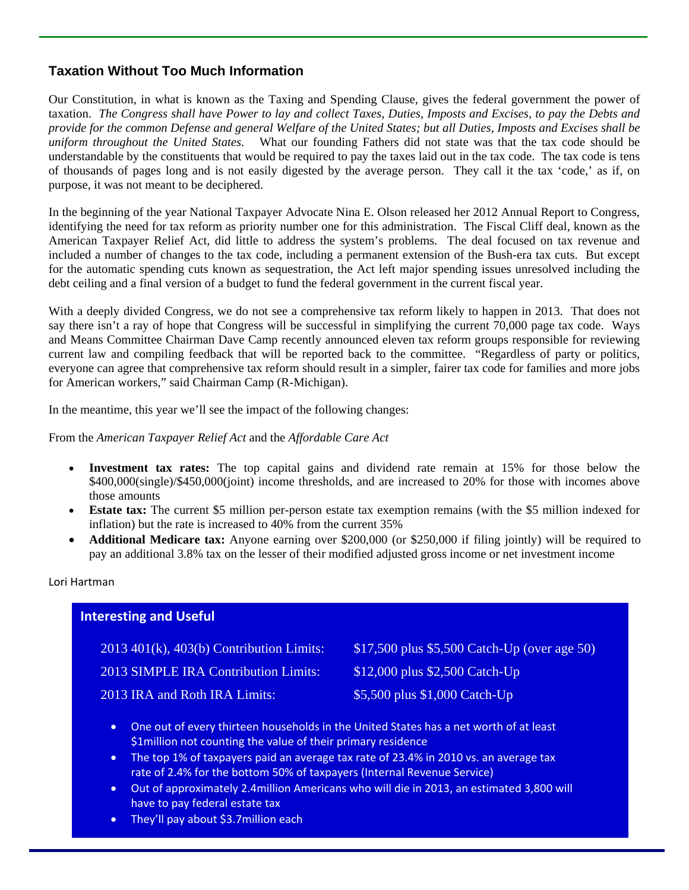# **Taxation Without Too Much Information**

Our Constitution, in what is known as the Taxing and Spending Clause, gives the federal government the power of taxation. *The Congress shall have Power to lay and collect Taxes, Duties, Imposts and Excises, to pay the Debts and provide for the common Defense and general Welfare of the United States; but all Duties, Imposts and Excises shall be uniform throughout the United States.* What our founding Fathers did not state was that the tax code should be understandable by the constituents that would be required to pay the taxes laid out in the tax code. The tax code is tens of thousands of pages long and is not easily digested by the average person. They call it the tax 'code,' as if, on purpose, it was not meant to be deciphered.

In the beginning of the year National Taxpayer Advocate Nina E. Olson released her 2012 Annual Report to Congress, identifying the need for tax reform as priority number one for this administration. The Fiscal Cliff deal, known as the American Taxpayer Relief Act, did little to address the system's problems. The deal focused on tax revenue and included a number of changes to the tax code, including a permanent extension of the Bush-era tax cuts. But except for the automatic spending cuts known as sequestration, the Act left major spending issues unresolved including the debt ceiling and a final version of a budget to fund the federal government in the current fiscal year.

With a deeply divided Congress, we do not see a comprehensive tax reform likely to happen in 2013. That does not say there isn't a ray of hope that Congress will be successful in simplifying the current 70,000 page tax code. Ways and Means Committee Chairman Dave Camp recently announced eleven tax reform groups responsible for reviewing current law and compiling feedback that will be reported back to the committee. "Regardless of party or politics, everyone can agree that comprehensive tax reform should result in a simpler, fairer tax code for families and more jobs for American workers," said Chairman Camp (R-Michigan).

In the meantime, this year we'll see the impact of the following changes:

#### From the *American Taxpayer Relief Act* and the *Affordable Care Act*

- **Investment tax rates:** The top capital gains and dividend rate remain at 15% for those below the \$400,000(single)/\$450,000(joint) income thresholds, and are increased to 20% for those with incomes above those amounts
- **Estate tax:** The current \$5 million per-person estate tax exemption remains (with the \$5 million indexed for inflation) but the rate is increased to 40% from the current 35%
- **Additional Medicare tax:** Anyone earning over \$200,000 (or \$250,000 if filing jointly) will be required to pay an additional 3.8% tax on the lesser of their modified adjusted gross income or net investment income

### Lori Hartman

# **Interesting and Useful**

| $2013$ 401(k), 403(b) Contribution Limits: | \$17,500 plus $$5,500$ Catch-Up (over age 50) |
|--------------------------------------------|-----------------------------------------------|
| 2013 SIMPLE IRA Contribution Limits:       | $$12,000$ plus $$2,500$ Catch-Up              |
| 2013 IRA and Roth IRA Limits:              | \$5,500 plus \$1,000 Catch-Up                 |

- One out of every thirteen households in the United States has a net worth of at least \$1million not counting the value of their primary residence
- The top 1% of taxpayers paid an average tax rate of 23.4% in 2010 vs. an average tax rate of 2.4% for the bottom 50% of taxpayers (Internal Revenue Service)
- Out of approximately 2.4million Americans who will die in 2013, an estimated 3,800 will have to pay federal estate tax
- They'll pay about \$3.7million each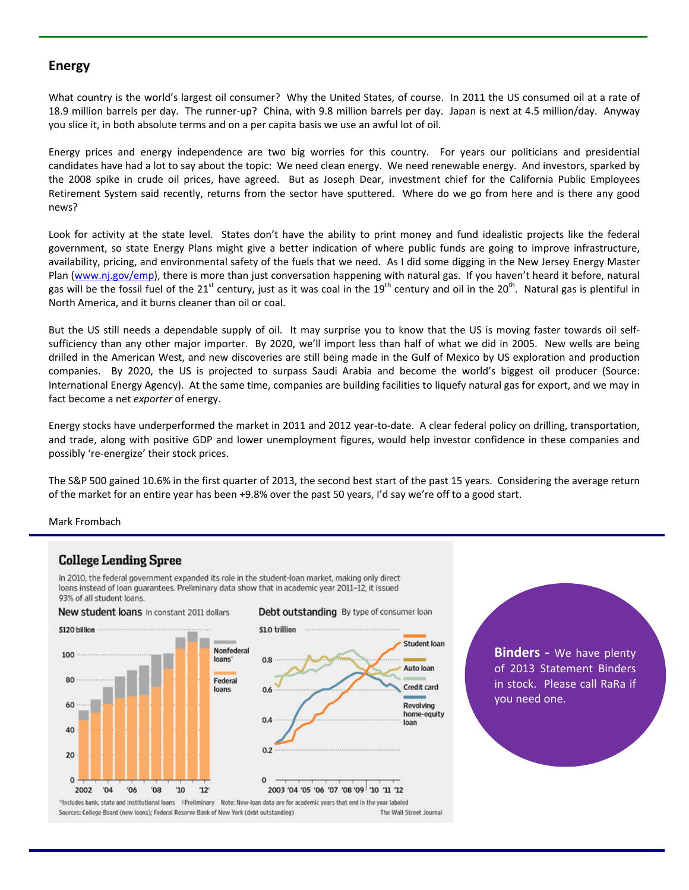## **Energy**

What country is the world's largest oil consumer? Why the United States, of course. In 2011 the US consumed oil at a rate of 18.9 million barrels per day. The runner‐up? China, with 9.8 million barrels per day. Japan is next at 4.5 million/day. Anyway you slice it, in both absolute terms and on a per capita basis we use an awful lot of oil.

Energy prices and energy independence are two big worries for this country. For years our politicians and presidential candidates have had a lot to say about the topic: We need clean energy. We need renewable energy. And investors, sparked by the 2008 spike in crude oil prices, have agreed. But as Joseph Dear, investment chief for the California Public Employees Retirement System said recently, returns from the sector have sputtered. Where do we go from here and is there any good news?

Look for activity at the state level. States don't have the ability to print money and fund idealistic projects like the federal government, so state Energy Plans might give a better indication of where public funds are going to improve infrastructure, availability, pricing, and environmental safety of the fuels that we need. As I did some digging in the New Jersey Energy Master Plan (www.nj.gov/emp), there is more than just conversation happening with natural gas. If you haven't heard it before, natural gas will be the fossil fuel of the  $21^{st}$  century, just as it was coal in the  $19^{th}$  century and oil in the  $20^{th}$ . Natural gas is plentiful in North America, and it burns cleaner than oil or coal.

But the US still needs a dependable supply of oil. It may surprise you to know that the US is moving faster towards oil self‐ sufficiency than any other major importer. By 2020, we'll import less than half of what we did in 2005. New wells are being drilled in the American West, and new discoveries are still being made in the Gulf of Mexico by US exploration and production companies. By 2020, the US is projected to surpass Saudi Arabia and become the world's biggest oil producer (Source: International Energy Agency). At the same time, companies are building facilities to liquefy natural gas for export, and we may in fact become a net *exporter* of energy.

Energy stocks have underperformed the market in 2011 and 2012 year‐to‐date. A clear federal policy on drilling, transportation, and trade, along with positive GDP and lower unemployment figures, would help investor confidence in these companies and possibly 're‐energize' their stock prices.

The S&P 500 gained 10.6% in the first quarter of 2013, the second best start of the past 15 years. Considering the average return of the market for an entire year has been +9.8% over the past 50 years, I'd say we're off to a good start.

#### Mark Frombach

### **College Lending Spree**

In 2010, the federal government expanded its role in the student-loan market, making only direct loans instead of loan guarantees. Preliminary data show that in academic year 2011-12, it issued 93% of all student loans



**Binders** - We have plenty of 2013 Statement Binders in stock. Please call RaRa if you need one.